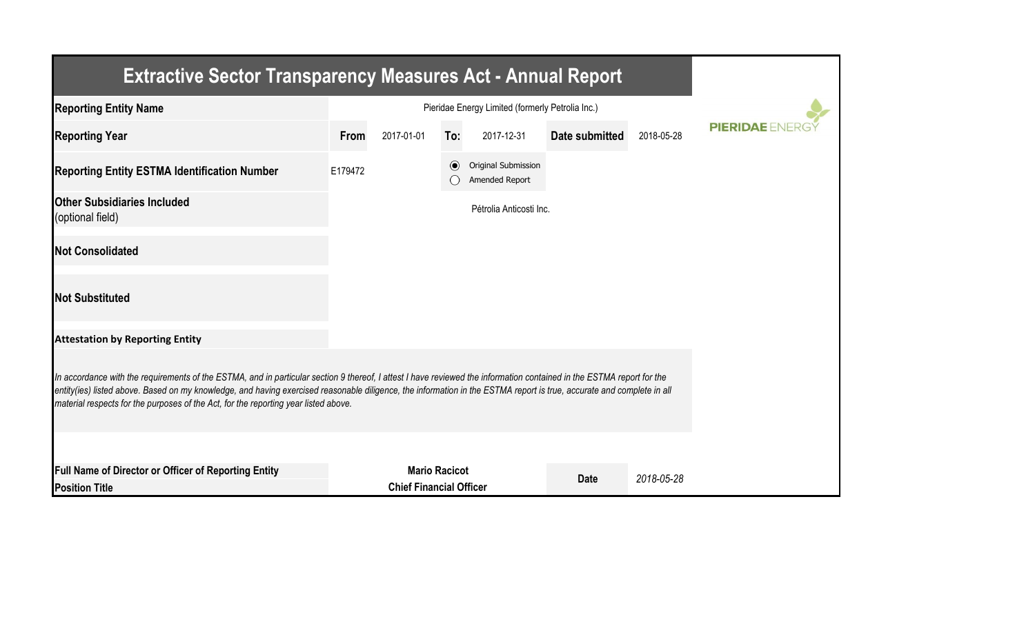| <b>Extractive Sector Transparency Measures Act - Annual Report</b>                                                                                                                                                                                                                                                                                                                                                                    |         |                                                  |                      |                                       |                |            |                  |
|---------------------------------------------------------------------------------------------------------------------------------------------------------------------------------------------------------------------------------------------------------------------------------------------------------------------------------------------------------------------------------------------------------------------------------------|---------|--------------------------------------------------|----------------------|---------------------------------------|----------------|------------|------------------|
| <b>Reporting Entity Name</b>                                                                                                                                                                                                                                                                                                                                                                                                          |         | Pieridae Energy Limited (formerly Petrolia Inc.) |                      |                                       |                |            |                  |
| <b>Reporting Year</b>                                                                                                                                                                                                                                                                                                                                                                                                                 | From    | 2017-01-01                                       | To:                  | 2017-12-31                            | Date submitted | 2018-05-28 | <b>PIERIDAEE</b> |
| <b>Reporting Entity ESTMA Identification Number</b>                                                                                                                                                                                                                                                                                                                                                                                   | E179472 |                                                  | $\odot$              | Original Submission<br>Amended Report |                |            |                  |
| <b>Other Subsidiaries Included</b><br>(optional field)                                                                                                                                                                                                                                                                                                                                                                                |         |                                                  |                      | Pétrolia Anticosti Inc.               |                |            |                  |
| <b>Not Consolidated</b>                                                                                                                                                                                                                                                                                                                                                                                                               |         |                                                  |                      |                                       |                |            |                  |
| <b>Not Substituted</b>                                                                                                                                                                                                                                                                                                                                                                                                                |         |                                                  |                      |                                       |                |            |                  |
| <b>Attestation by Reporting Entity</b>                                                                                                                                                                                                                                                                                                                                                                                                |         |                                                  |                      |                                       |                |            |                  |
| In accordance with the requirements of the ESTMA, and in particular section 9 thereof, I attest I have reviewed the information contained in the ESTMA report for the<br>entity(ies) listed above. Based on my knowledge, and having exercised reasonable diligence, the information in the ESTMA report is true, accurate and complete in all<br>material respects for the purposes of the Act, for the reporting year listed above. |         |                                                  |                      |                                       |                |            |                  |
| Full Name of Director or Officer of Reporting Entity<br><b>Position Title</b>                                                                                                                                                                                                                                                                                                                                                         |         | <b>Chief Financial Officer</b>                   | <b>Mario Racicot</b> |                                       | <b>Date</b>    | 2018-05-28 |                  |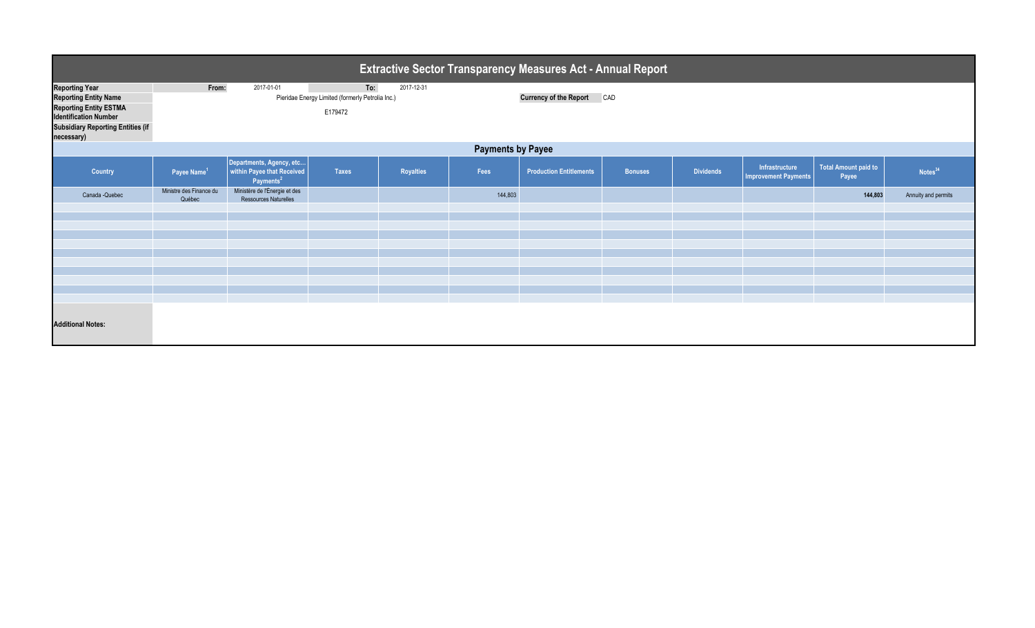| <b>Extractive Sector Transparency Measures Act - Annual Report</b>                                                                                                 |                                                                                                         |                                                                                 |              |                  |         |                                   |                |                  |                                               |                               |                     |  |  |  |
|--------------------------------------------------------------------------------------------------------------------------------------------------------------------|---------------------------------------------------------------------------------------------------------|---------------------------------------------------------------------------------|--------------|------------------|---------|-----------------------------------|----------------|------------------|-----------------------------------------------|-------------------------------|---------------------|--|--|--|
| <b>Reporting Year</b><br><b>Reporting Entity Name</b><br>Reporting Entity ESTMA<br>Identification Number<br><b>Subsidiary Reporting Entities (if</b><br>necessary) | To:<br>2017-12-31<br>From:<br>2017-01-01<br>Pieridae Energy Limited (formerly Petrolia Inc.)<br>E179472 |                                                                                 |              |                  |         | <b>Currency of the Report CAD</b> |                |                  |                                               |                               |                     |  |  |  |
| <b>Payments by Payee</b>                                                                                                                                           |                                                                                                         |                                                                                 |              |                  |         |                                   |                |                  |                                               |                               |                     |  |  |  |
| <b>Country</b>                                                                                                                                                     | Payee Name <sup>1</sup>                                                                                 | Departments, Agency, etc<br>within Payee that Received<br>Payments <sup>2</sup> | <b>Taxes</b> | <b>Royalties</b> | Fees    | <b>Production Entitlements</b>    | <b>Bonuses</b> | <b>Dividends</b> | Infrastructure<br><b>Improvement Payments</b> | Total Amount paid to<br>Payee | Notes <sup>34</sup> |  |  |  |
| Canada - Quebec                                                                                                                                                    | Ministre des Finance du<br>Québec                                                                       | Ministère de l'Énergie et des<br><b>Ressources Naturelles</b>                   |              |                  | 144,803 |                                   |                |                  |                                               | 144,803                       | Annuity and permits |  |  |  |
|                                                                                                                                                                    |                                                                                                         |                                                                                 |              |                  |         |                                   |                |                  |                                               |                               |                     |  |  |  |
|                                                                                                                                                                    |                                                                                                         |                                                                                 |              |                  |         |                                   |                |                  |                                               |                               |                     |  |  |  |
|                                                                                                                                                                    |                                                                                                         |                                                                                 |              |                  |         |                                   |                |                  |                                               |                               |                     |  |  |  |
|                                                                                                                                                                    |                                                                                                         |                                                                                 |              |                  |         |                                   |                |                  |                                               |                               |                     |  |  |  |
|                                                                                                                                                                    |                                                                                                         |                                                                                 |              |                  |         |                                   |                |                  |                                               |                               |                     |  |  |  |
|                                                                                                                                                                    |                                                                                                         |                                                                                 |              |                  |         |                                   |                |                  |                                               |                               |                     |  |  |  |
|                                                                                                                                                                    |                                                                                                         |                                                                                 |              |                  |         |                                   |                |                  |                                               |                               |                     |  |  |  |
|                                                                                                                                                                    |                                                                                                         |                                                                                 |              |                  |         |                                   |                |                  |                                               |                               |                     |  |  |  |
| <b>Additional Notes:</b>                                                                                                                                           |                                                                                                         |                                                                                 |              |                  |         |                                   |                |                  |                                               |                               |                     |  |  |  |